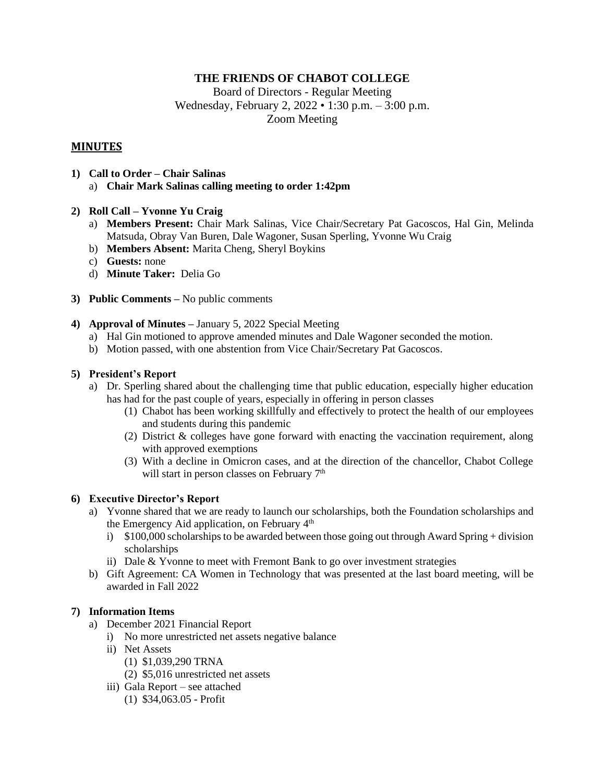# **THE FRIENDS OF CHABOT COLLEGE**

Board of Directors - Regular Meeting Wednesday, February 2, 2022 • 1:30 p.m. – 3:00 p.m. Zoom Meeting

# **MINUTES**

- **1) Call to Order – Chair Salinas** a) **Chair Mark Salinas calling meeting to order 1:42pm**
- **2) Roll Call – Yvonne Yu Craig**
	- a) **Members Present:** Chair Mark Salinas, Vice Chair/Secretary Pat Gacoscos, Hal Gin, Melinda Matsuda, Obray Van Buren, Dale Wagoner, Susan Sperling, Yvonne Wu Craig
	- b) **Members Absent:** Marita Cheng, Sheryl Boykins
	- c) **Guests:** none
	- d) **Minute Taker:** Delia Go
- **3) Public Comments –** No public comments
- **4) Approval of Minutes –** January 5, 2022 Special Meeting
	- a) Hal Gin motioned to approve amended minutes and Dale Wagoner seconded the motion.
	- b) Motion passed, with one abstention from Vice Chair/Secretary Pat Gacoscos.

# **5) President's Report**

- a) Dr. Sperling shared about the challenging time that public education, especially higher education has had for the past couple of years, especially in offering in person classes
	- (1) Chabot has been working skillfully and effectively to protect the health of our employees and students during this pandemic
	- (2) District & colleges have gone forward with enacting the vaccination requirement, along with approved exemptions
	- (3) With a decline in Omicron cases, and at the direction of the chancellor, Chabot College will start in person classes on February 7<sup>th</sup>

## **6) Executive Director's Report**

- a) Yvonne shared that we are ready to launch our scholarships, both the Foundation scholarships and the Emergency Aid application, on February 4<sup>th</sup>
	- i)  $$100,000$  scholarships to be awarded between those going out through Award Spring + division scholarships
	- ii) Dale & Yvonne to meet with Fremont Bank to go over investment strategies
- b) Gift Agreement: CA Women in Technology that was presented at the last board meeting, will be awarded in Fall 2022

## **7) Information Items**

- a) December 2021 Financial Report
	- i) No more unrestricted net assets negative balance
	- ii) Net Assets
		- (1) \$1,039,290 TRNA
		- (2) \$5,016 unrestricted net assets
	- iii) Gala Report see attached
		- (1) \$34,063.05 Profit